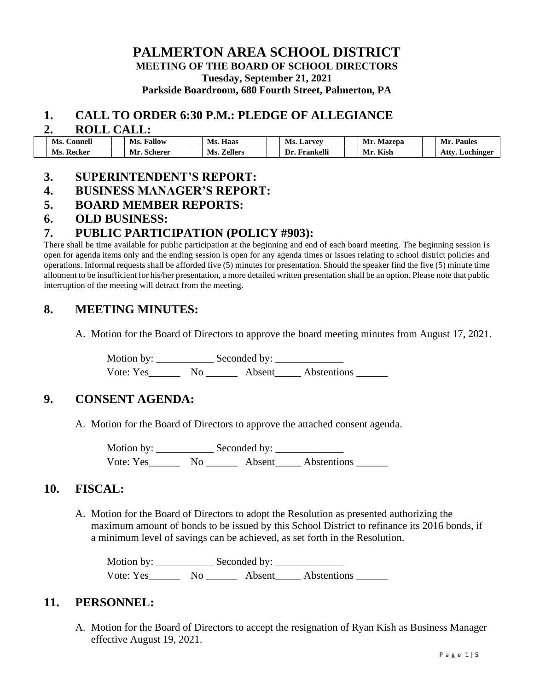### **PALMERTON AREA SCHOOL DISTRICT MEETING OF THE BOARD OF SCHOOL DIRECTORS Tuesday, September 21, 2021 Parkside Boardroom, 680 Fourth Street, Palmerton, PA**

#### **1. CALL TO ORDER 6:30 P.M.: PLEDGE OF ALLEGIANCE**

#### **2. ROLL CALL:**

| Ms.<br>Connell | Fallow<br>Ms.  | $-$<br>Ms.<br>Haas    | Ms.<br>. Larvey  | Mr.<br>Mazepa | Mr.<br><b>Paules</b> |
|----------------|----------------|-----------------------|------------------|---------------|----------------------|
| Ms.<br>Recker  | <b>Scherer</b> | Ms.<br><b>Zellers</b> | Frankelli<br>Dr. | Kish<br>Mr    | Atty<br>Lochinger    |

#### **3. SUPERINTENDENT'S REPORT:**

### **4. BUSINESS MANAGER'S REPORT:**

### **5. BOARD MEMBER REPORTS:**

### **6. OLD BUSINESS:**

## **7. PUBLIC PARTICIPATION (POLICY #903):**

There shall be time available for public participation at the beginning and end of each board meeting. The beginning session is open for agenda items only and the ending session is open for any agenda times or issues relating to school district policies and operations. Informal requests shall be afforded five (5) minutes for presentation. Should the speaker find the five (5) minute time allotment to be insufficient for his/her presentation, a more detailed written presentation shall be an option. Please note that public interruption of the meeting will detract from the meeting.

## **8. MEETING MINUTES:**

A. Motion for the Board of Directors to approve the board meeting minutes from August 17, 2021.

Motion by: \_\_\_\_\_\_\_\_\_\_\_ Seconded by: \_\_\_\_\_\_\_\_\_\_\_\_\_ Vote: Yes\_\_\_\_\_\_\_\_ No \_\_\_\_\_\_\_\_ Absent\_\_\_\_\_\_ Abstentions \_\_\_\_\_\_\_

## **9. CONSENT AGENDA:**

A. Motion for the Board of Directors to approve the attached consent agenda.

Motion by: \_\_\_\_\_\_\_\_\_\_\_ Seconded by: \_\_\_\_\_\_\_\_\_\_\_\_\_ Vote: Yes\_\_\_\_\_\_ No \_\_\_\_\_\_ Absent\_\_\_\_\_ Abstentions \_\_\_\_\_\_

## **10. FISCAL:**

A. Motion for the Board of Directors to adopt the Resolution as presented authorizing the maximum amount of bonds to be issued by this School District to refinance its 2016 bonds, if a minimum level of savings can be achieved, as set forth in the Resolution.

Motion by: \_\_\_\_\_\_\_\_\_\_\_ Seconded by: \_\_\_\_\_\_\_\_\_\_\_\_\_ Vote: Yes Mo Absent Abstentions

## **11. PERSONNEL:**

A. Motion for the Board of Directors to accept the resignation of Ryan Kish as Business Manager effective August 19, 2021.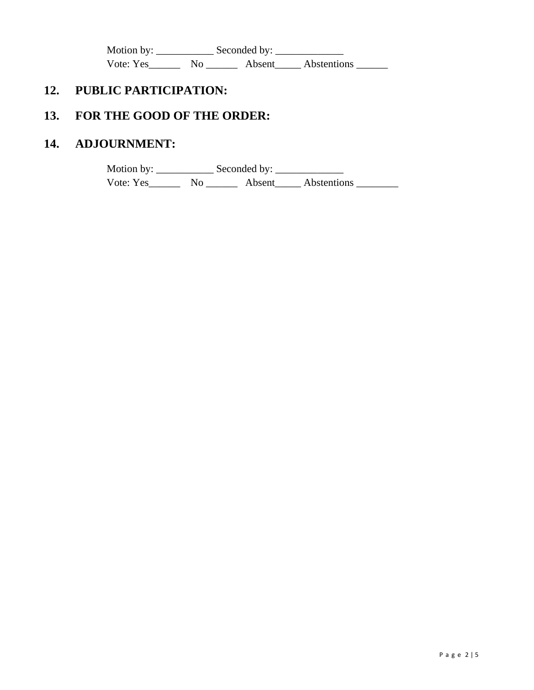Motion by: \_\_\_\_\_\_\_\_\_\_\_ Seconded by: \_\_\_\_\_\_\_\_\_\_\_\_\_ Vote: Yes\_\_\_\_\_\_\_\_ No \_\_\_\_\_\_\_\_ Absent\_\_\_\_\_ Abstentions \_\_\_\_\_\_\_

# **12. PUBLIC PARTICIPATION:**

# **13. FOR THE GOOD OF THE ORDER:**

# **14. ADJOURNMENT:**

Motion by: \_\_\_\_\_\_\_\_\_\_\_ Seconded by: \_\_\_\_\_\_\_\_\_\_\_\_\_ Vote: Yes\_\_\_\_\_\_\_\_ No \_\_\_\_\_\_\_\_ Absent\_\_\_\_\_\_ Abstentions \_\_\_\_\_\_\_\_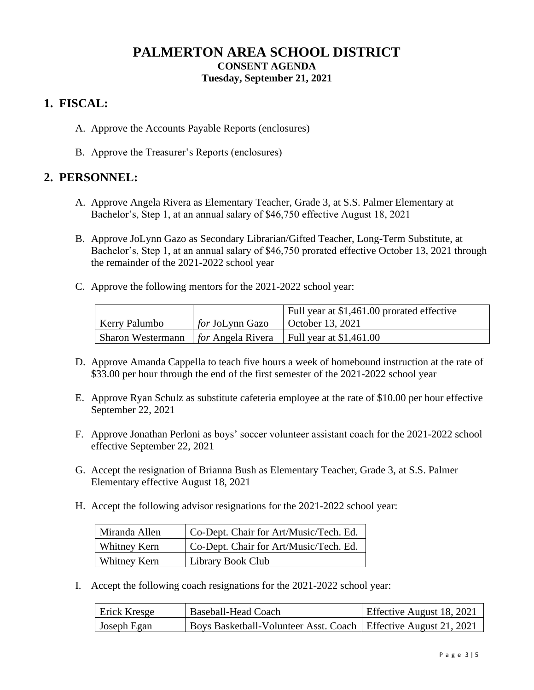# **PALMERTON AREA SCHOOL DISTRICT CONSENT AGENDA Tuesday, September 21, 2021**

## **1. FISCAL:**

- A. Approve the Accounts Payable Reports (enclosures)
- B. Approve the Treasurer's Reports (enclosures)

## **2. PERSONNEL:**

- A. Approve Angela Rivera as Elementary Teacher, Grade 3, at S.S. Palmer Elementary at Bachelor's, Step 1, at an annual salary of \$46,750 effective August 18, 2021
- B. Approve JoLynn Gazo as Secondary Librarian/Gifted Teacher, Long-Term Substitute, at Bachelor's, Step 1, at an annual salary of \$46,750 prorated effective October 13, 2021 through the remainder of the 2021-2022 school year
- C. Approve the following mentors for the 2021-2022 school year:

|                      |                        | Full year at \$1,461.00 prorated effective                                       |
|----------------------|------------------------|----------------------------------------------------------------------------------|
| <b>Kerry Palumbo</b> | <i>for</i> JoLynn Gazo | October 13, 2021                                                                 |
|                      |                        | Sharon Westermann $\int$ <i>for</i> Angela Rivera $\int$ Full year at \$1,461.00 |

- D. Approve Amanda Cappella to teach five hours a week of homebound instruction at the rate of \$33.00 per hour through the end of the first semester of the 2021-2022 school year
- E. Approve Ryan Schulz as substitute cafeteria employee at the rate of \$10.00 per hour effective September 22, 2021
- F. Approve Jonathan Perloni as boys' soccer volunteer assistant coach for the 2021-2022 school effective September 22, 2021
- G. Accept the resignation of Brianna Bush as Elementary Teacher, Grade 3, at S.S. Palmer Elementary effective August 18, 2021
- H. Accept the following advisor resignations for the 2021-2022 school year:

| Miranda Allen | Co-Dept. Chair for Art/Music/Tech. Ed. |
|---------------|----------------------------------------|
| Whitney Kern  | Co-Dept. Chair for Art/Music/Tech. Ed. |
| Whitney Kern  | Library Book Club                      |

I. Accept the following coach resignations for the 2021-2022 school year:

| <b>Erick Kresge</b> | Baseball-Head Coach                                               | Effective August 18, 2021 |  |  |
|---------------------|-------------------------------------------------------------------|---------------------------|--|--|
| Joseph Egan         | Boys Basketball-Volunteer Asst. Coach   Effective August 21, 2021 |                           |  |  |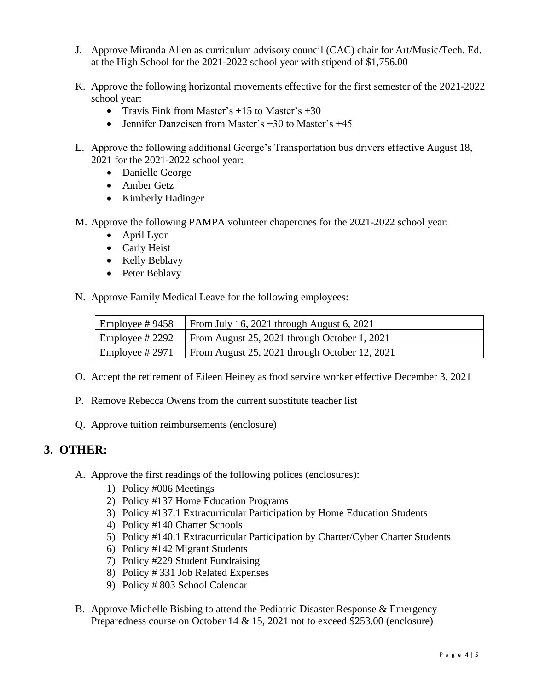- J. Approve Miranda Allen as curriculum advisory council (CAC) chair for Art/Music/Tech. Ed. at the High School for the 2021-2022 school year with stipend of \$1,756.00
- K. Approve the following horizontal movements effective for the first semester of the 2021-2022 school year:
	- Travis Fink from Master's  $+15$  to Master's  $+30$
	- Jennifer Danzeisen from Master's  $+30$  to Master's  $+45$
- L. Approve the following additional George's Transportation bus drivers effective August 18, 2021 for the 2021-2022 school year:
	- Danielle George
	- Amber Getz
	- Kimberly Hadinger

M. Approve the following PAMPA volunteer chaperones for the 2021-2022 school year:

- April Lyon
- Carly Heist
- Kelly Beblavy
- Peter Beblavy

N. Approve Family Medical Leave for the following employees:

| Employee #9458  | From July 16, 2021 through August 6, 2021                                    |
|-----------------|------------------------------------------------------------------------------|
|                 | $\vert$ Employee # 2292 $\vert$ From August 25, 2021 through October 1, 2021 |
| Employee # 2971 | From August 25, 2021 through October 12, 2021                                |

- O. Accept the retirement of Eileen Heiney as food service worker effective December 3, 2021
- P. Remove Rebecca Owens from the current substitute teacher list
- Q. Approve tuition reimbursements (enclosure)

## **3. OTHER:**

- A. Approve the first readings of the following polices (enclosures):
	- 1) Policy #006 Meetings
	- 2) Policy #137 Home Education Programs
	- 3) Policy #137.1 Extracurricular Participation by Home Education Students
	- 4) Policy #140 Charter Schools
	- 5) Policy #140.1 Extracurricular Participation by Charter/Cyber Charter Students
	- 6) Policy #142 Migrant Students
	- 7) Policy #229 Student Fundraising
	- 8) Policy # 331 Job Related Expenses
	- 9) Policy # 803 School Calendar
- B. Approve Michelle Bisbing to attend the Pediatric Disaster Response & Emergency Preparedness course on October 14 & 15, 2021 not to exceed \$253.00 (enclosure)